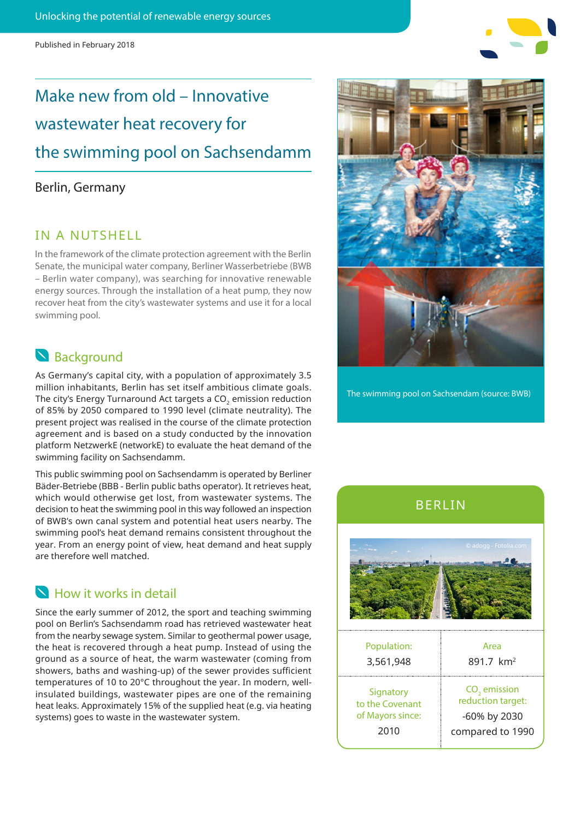Published in February 2018

# Make new from old – Innovative wastewater heat recovery for the swimming pool on Sachsendamm

### Berlin, Germany

### IN A NUTSHELL

In the framework of the climate protection agreement with the Berlin Senate, the municipal water company, Berliner Wasserbetriebe (BWB – Berlin water company), was searching for innovative renewable energy sources. Through the installation of a heat pump, they now recover heat from the city's wastewater systems and use it for a local swimming pool.

# **S** Background

As Germany's capital city, with a population of approximately 3.5 million inhabitants, Berlin has set itself ambitious climate goals. The city's Energy Turnaround Act targets a CO<sub>2</sub> emission reduction of 85% by 2050 compared to 1990 level (climate neutrality). The present project was realised in the course of the climate protection agreement and is based on a study conducted by the innovation platform NetzwerkE (networkE) to evaluate the heat demand of the swimming facility on Sachsendamm.

This public swimming pool on Sachsendamm is operated by Berliner Bäder-Betriebe (BBB - Berlin public baths operator). It retrieves heat, which would otherwise get lost, from wastewater systems. The decision to heat the swimming pool in this way followed an inspection of BWB's own canal system and potential heat users nearby. The swimming pool's heat demand remains consistent throughout the year. From an energy point of view, heat demand and heat supply are therefore well matched.

# **N** How it works in detail

Since the early summer of 2012, the sport and teaching swimming pool on Berlin's Sachsendamm road has retrieved wastewater heat from the nearby sewage system. Similar to geothermal power usage, the heat is recovered through a heat pump. Instead of using the ground as a source of heat, the warm wastewater (coming from showers, baths and washing-up) of the sewer provides sufficient temperatures of 10 to 20°C throughout the year. In modern, wellinsulated buildings, wastewater pipes are one of the remaining heat leaks. Approximately 15% of the supplied heat (e.g. via heating systems) goes to waste in the wastewater system.